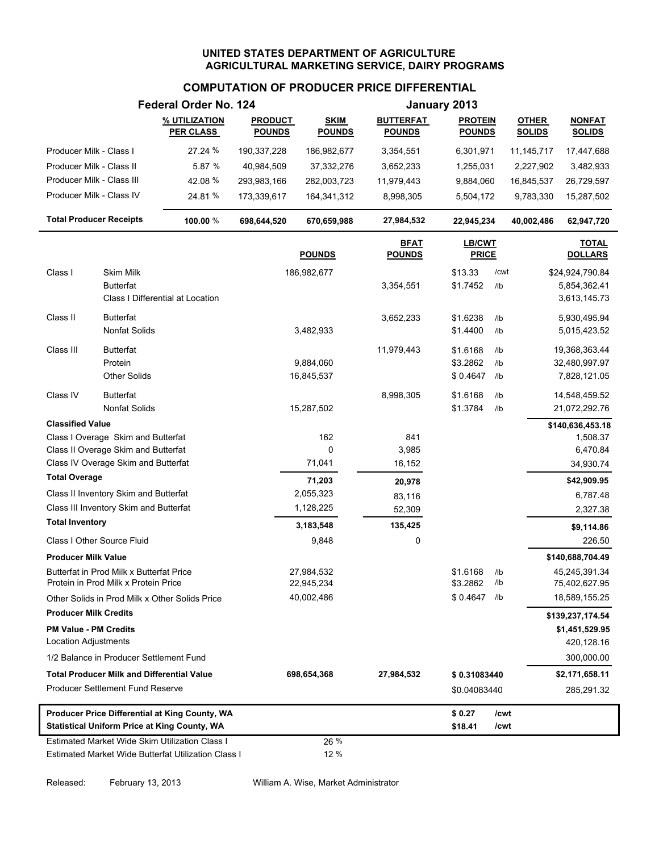# **COMPUTATION OF PRODUCER PRICE DIFFERENTIAL**

|                                |                                                                                  | Federal Order No. 124                               |                                 |                              |                                   | January 2013                    |            |                               |                                    |
|--------------------------------|----------------------------------------------------------------------------------|-----------------------------------------------------|---------------------------------|------------------------------|-----------------------------------|---------------------------------|------------|-------------------------------|------------------------------------|
|                                |                                                                                  | % UTILIZATION<br><b>PER CLASS</b>                   | <b>PRODUCT</b><br><b>POUNDS</b> | <b>SKIM</b><br><b>POUNDS</b> | <b>BUTTERFAT</b><br><u>POUNDS</u> | <b>PROTEIN</b><br><b>POUNDS</b> |            | <b>OTHER</b><br><b>SOLIDS</b> | <b>NONFAT</b><br><b>SOLIDS</b>     |
| Producer Milk - Class I        |                                                                                  | 27.24 %                                             | 190,337,228                     | 186,982,677                  | 3,354,551                         | 6,301,971                       |            | 11,145,717                    | 17,447,688                         |
| Producer Milk - Class II       |                                                                                  | 5.87 %                                              | 40,984,509                      | 37,332,276                   | 3,652,233                         | 1,255,031                       |            | 2,227,902                     | 3,482,933                          |
| Producer Milk - Class III      |                                                                                  | 42.08 %                                             | 293,983,166                     | 282,003,723                  | 11,979,443                        | 9,884,060                       |            | 16,845,537                    | 26,729,597                         |
| Producer Milk - Class IV       |                                                                                  | 24.81 %                                             | 173,339,617                     | 164,341,312                  | 8,998,305                         | 5,504,172                       |            | 9,783,330                     | 15,287,502                         |
| <b>Total Producer Receipts</b> |                                                                                  | 100.00 %                                            | 698,644,520                     | 670,659,988                  | 27,984,532                        | 22,945,234                      |            | 40,002,486                    | 62,947,720                         |
|                                |                                                                                  |                                                     |                                 | <b>POUNDS</b>                | <u>BFAT</u><br><b>POUNDS</b>      | <b>LB/CWT</b><br><b>PRICE</b>   |            |                               | <b>TOTAL</b><br><b>DOLLARS</b>     |
| Class I                        | Skim Milk                                                                        |                                                     |                                 | 186,982,677                  |                                   | \$13.33                         | /cwt       |                               | \$24,924,790.84                    |
|                                | <b>Butterfat</b>                                                                 |                                                     |                                 |                              | 3,354,551                         | \$1.7452                        | /lb        |                               | 5,854,362.41                       |
|                                |                                                                                  | Class I Differential at Location                    |                                 |                              |                                   |                                 |            |                               | 3,613,145.73                       |
| Class II                       | <b>Butterfat</b>                                                                 |                                                     |                                 |                              | 3,652,233                         | \$1.6238                        | /lb        |                               | 5,930,495.94                       |
|                                | Nonfat Solids                                                                    |                                                     |                                 | 3,482,933                    |                                   | \$1.4400                        | /lb        |                               | 5,015,423.52                       |
| Class III                      | <b>Butterfat</b>                                                                 |                                                     |                                 |                              | 11,979,443                        | \$1.6168                        | /lb        |                               | 19,368,363.44                      |
|                                | Protein                                                                          |                                                     |                                 | 9,884,060                    |                                   | \$3.2862                        | $/$ lb     |                               | 32,480,997.97                      |
|                                | <b>Other Solids</b>                                                              |                                                     |                                 | 16,845,537                   |                                   | \$0.4647                        | /lb        |                               | 7,828,121.05                       |
| Class IV                       | <b>Butterfat</b>                                                                 |                                                     |                                 |                              | 8,998,305                         | \$1.6168                        | /lb        |                               | 14,548,459.52                      |
|                                | <b>Nonfat Solids</b>                                                             |                                                     |                                 | 15,287,502                   |                                   | \$1.3784                        | /lb        |                               | 21,072,292.76                      |
| <b>Classified Value</b>        |                                                                                  |                                                     |                                 |                              |                                   |                                 |            |                               | \$140,636,453.18                   |
|                                | Class I Overage Skim and Butterfat                                               |                                                     |                                 | 162                          | 841                               |                                 |            |                               | 1,508.37                           |
|                                | Class II Overage Skim and Butterfat                                              |                                                     |                                 | 0                            | 3,985                             |                                 |            |                               | 6,470.84                           |
| <b>Total Overage</b>           | Class IV Overage Skim and Butterfat                                              |                                                     |                                 | 71,041                       | 16,152                            |                                 |            |                               | 34,930.74                          |
|                                |                                                                                  |                                                     |                                 | 71,203                       | 20,978                            |                                 |            |                               | \$42,909.95                        |
|                                | Class II Inventory Skim and Butterfat<br>Class III Inventory Skim and Butterfat  |                                                     |                                 | 2,055,323                    | 83,116                            |                                 |            |                               | 6,787.48                           |
| <b>Total Inventory</b>         |                                                                                  |                                                     |                                 | 1,128,225                    | 52,309                            |                                 |            |                               | 2,327.38                           |
|                                |                                                                                  |                                                     |                                 | 3,183,548                    | 135,425                           |                                 |            |                               | \$9,114.86                         |
|                                | Class I Other Source Fluid                                                       |                                                     |                                 | 9,848                        | 0                                 |                                 |            |                               | 226.50                             |
| <b>Producer Milk Value</b>     |                                                                                  |                                                     |                                 |                              |                                   |                                 |            |                               | \$140,688,704.49                   |
|                                | Butterfat in Prod Milk x Butterfat Price<br>Protein in Prod Milk x Protein Price |                                                     |                                 | 27,984,532<br>22,945,234     |                                   | \$1.6168<br>\$3.2862            | /lb<br>/lb |                               | 45,245,391.34<br>75,402,627.95     |
|                                |                                                                                  | Other Solids in Prod Milk x Other Solids Price      |                                 | 40,002,486                   |                                   | \$0.4647                        | /lb        |                               | 18,589,155.25                      |
| <b>Producer Milk Credits</b>   |                                                                                  |                                                     |                                 |                              |                                   |                                 |            |                               |                                    |
| <b>PM Value - PM Credits</b>   |                                                                                  |                                                     |                                 |                              |                                   |                                 |            |                               | \$139,237,174.54<br>\$1,451,529.95 |
| <b>Location Adjustments</b>    |                                                                                  |                                                     |                                 |                              |                                   |                                 |            |                               | 420,128.16                         |
|                                | 1/2 Balance in Producer Settlement Fund                                          |                                                     |                                 |                              |                                   |                                 |            |                               | 300,000.00                         |
|                                | <b>Total Producer Milk and Differential Value</b>                                |                                                     |                                 | 698,654,368                  | 27,984,532                        | \$0.31083440                    |            |                               | \$2,171,658.11                     |
|                                | <b>Producer Settlement Fund Reserve</b>                                          |                                                     |                                 |                              |                                   | \$0.04083440                    |            |                               | 285,291.32                         |
|                                |                                                                                  | Producer Price Differential at King County, WA      |                                 |                              |                                   | \$0.27                          | /cwt       |                               |                                    |
|                                |                                                                                  | <b>Statistical Uniform Price at King County, WA</b> |                                 |                              |                                   | \$18.41                         | /cwt       |                               |                                    |
|                                |                                                                                  | Estimated Market Wide Skim Utilization Class I      |                                 | 26 %                         |                                   |                                 |            |                               |                                    |
|                                |                                                                                  | Estimated Market Wide Butterfat Utilization Class I |                                 | 12 %                         |                                   |                                 |            |                               |                                    |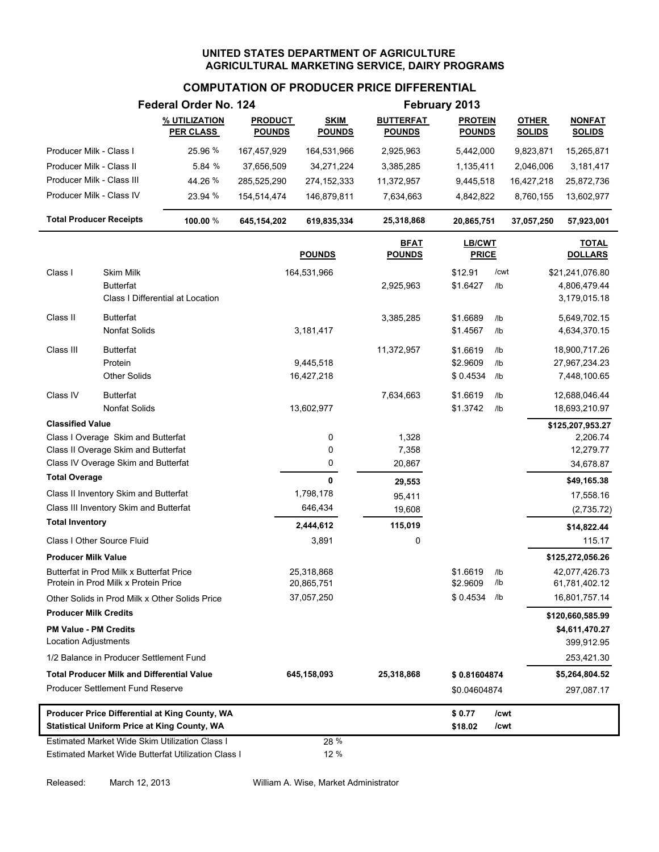# **COMPUTATION OF PRODUCER PRICE DIFFERENTIAL**

|                                |                                                   | Federal Order No. 124                               |                                 |                              |                                   | February 2013                   |        |                               |                                |
|--------------------------------|---------------------------------------------------|-----------------------------------------------------|---------------------------------|------------------------------|-----------------------------------|---------------------------------|--------|-------------------------------|--------------------------------|
|                                |                                                   | % UTILIZATION<br><b>PER CLASS</b>                   | <b>PRODUCT</b><br><b>POUNDS</b> | <b>SKIM</b><br><b>POUNDS</b> | <b>BUTTERFAT</b><br><b>POUNDS</b> | <b>PROTEIN</b><br><b>POUNDS</b> |        | <b>OTHER</b><br><b>SOLIDS</b> | <b>NONFAT</b><br><b>SOLIDS</b> |
| Producer Milk - Class I        |                                                   | 25.96 %                                             | 167,457,929                     | 164,531,966                  | 2,925,963                         | 5,442,000                       |        | 9,823,871                     | 15,265,871                     |
| Producer Milk - Class II       |                                                   | 5.84 %                                              | 37,656,509                      | 34,271,224                   | 3,385,285                         | 1,135,411                       |        | 2,046,006                     | 3,181,417                      |
| Producer Milk - Class III      |                                                   | 44.26 %                                             | 285,525,290                     | 274, 152, 333                | 11,372,957                        | 9,445,518                       |        | 16,427,218                    | 25,872,736                     |
| Producer Milk - Class IV       |                                                   | 23.94 %                                             | 154,514,474                     | 146,879,811                  | 7,634,663                         | 4,842,822                       |        | 8,760,155                     | 13,602,977                     |
| <b>Total Producer Receipts</b> |                                                   | 100.00 %                                            | 645,154,202                     | 619,835,334                  | 25,318,868                        | 20,865,751                      |        | 37,057,250                    | 57,923,001                     |
|                                |                                                   |                                                     |                                 | <b>POUNDS</b>                | <b>BFAT</b><br><b>POUNDS</b>      | LB/CWT<br><b>PRICE</b>          |        |                               | <b>TOTAL</b><br><b>DOLLARS</b> |
| Class I                        | <b>Skim Milk</b>                                  |                                                     |                                 | 164,531,966                  |                                   | \$12.91                         | /cwt   |                               | \$21,241,076.80                |
|                                | <b>Butterfat</b>                                  |                                                     |                                 |                              | 2,925,963                         | \$1.6427                        | $/$ lb |                               | 4,806,479.44                   |
|                                |                                                   | Class I Differential at Location                    |                                 |                              |                                   |                                 |        |                               | 3,179,015.18                   |
| Class II                       | <b>Butterfat</b>                                  |                                                     |                                 |                              | 3,385,285                         | \$1.6689                        | $/$ lb |                               | 5,649,702.15                   |
|                                | <b>Nonfat Solids</b>                              |                                                     |                                 | 3,181,417                    |                                   | \$1.4567                        | /lb    |                               | 4,634,370.15                   |
| Class III                      | <b>Butterfat</b>                                  |                                                     |                                 |                              | 11,372,957                        | \$1.6619                        | /lb    |                               | 18,900,717.26                  |
|                                | Protein                                           |                                                     |                                 | 9,445,518                    |                                   | \$2.9609                        | /lb    |                               | 27,967,234.23                  |
|                                | <b>Other Solids</b>                               |                                                     |                                 | 16,427,218                   |                                   | \$0.4534                        | /lb    |                               | 7,448,100.65                   |
| Class IV                       | <b>Butterfat</b>                                  |                                                     |                                 |                              | 7,634,663                         | \$1.6619                        | $/$ lb |                               | 12,688,046.44                  |
|                                | <b>Nonfat Solids</b>                              |                                                     |                                 | 13,602,977                   |                                   | \$1.3742                        | /lb    |                               | 18,693,210.97                  |
| <b>Classified Value</b>        |                                                   |                                                     |                                 |                              |                                   |                                 |        |                               | \$125,207,953.27               |
|                                | Class I Overage Skim and Butterfat                |                                                     |                                 | 0                            | 1,328                             |                                 |        |                               | 2,206.74                       |
|                                | Class II Overage Skim and Butterfat               |                                                     |                                 | 0                            | 7,358                             |                                 |        |                               | 12,279.77                      |
|                                | Class IV Overage Skim and Butterfat               |                                                     |                                 | 0                            | 20,867                            |                                 |        |                               | 34,678.87                      |
| <b>Total Overage</b>           |                                                   |                                                     |                                 | 0                            | 29,553                            |                                 |        |                               | \$49,165.38                    |
|                                | Class II Inventory Skim and Butterfat             |                                                     |                                 | 1,798,178                    | 95,411                            |                                 |        |                               | 17,558.16                      |
|                                | Class III Inventory Skim and Butterfat            |                                                     |                                 | 646,434                      | 19,608                            |                                 |        |                               | (2,735.72)                     |
| <b>Total Inventory</b>         |                                                   |                                                     |                                 | 2,444,612                    | 115,019                           |                                 |        |                               | \$14,822.44                    |
|                                | Class I Other Source Fluid                        |                                                     |                                 | 3,891                        | 0                                 |                                 |        |                               | 115.17                         |
| <b>Producer Milk Value</b>     |                                                   |                                                     |                                 |                              |                                   |                                 |        |                               | \$125,272,056.26               |
|                                | Butterfat in Prod Milk x Butterfat Price          |                                                     |                                 | 25,318,868                   |                                   | \$1.6619                        | /lb    |                               | 42,077,426.73                  |
|                                | Protein in Prod Milk x Protein Price              |                                                     |                                 | 20,865,751                   |                                   | \$2.9609                        | /lb    |                               | 61,781,402.12                  |
|                                |                                                   | Other Solids in Prod Milk x Other Solids Price      |                                 | 37,057,250                   |                                   | \$0.4534                        | /lb    |                               | 16,801,757.14                  |
| <b>Producer Milk Credits</b>   |                                                   |                                                     |                                 |                              |                                   |                                 |        |                               | \$120,660,585.99               |
| <b>PM Value - PM Credits</b>   |                                                   |                                                     |                                 |                              |                                   |                                 |        |                               | \$4,611,470.27                 |
| Location Adjustments           |                                                   |                                                     |                                 |                              |                                   |                                 |        |                               | 399,912.95                     |
|                                | 1/2 Balance in Producer Settlement Fund           |                                                     |                                 |                              |                                   |                                 |        |                               | 253,421.30                     |
|                                | <b>Total Producer Milk and Differential Value</b> |                                                     |                                 | 645,158,093                  | 25,318,868                        | \$0.81604874                    |        |                               | \$5,264,804.52                 |
|                                | <b>Producer Settlement Fund Reserve</b>           |                                                     |                                 |                              |                                   | \$0.04604874                    |        |                               | 297,087.17                     |
|                                |                                                   | Producer Price Differential at King County, WA      |                                 |                              |                                   | \$0.77                          | /cwt   |                               |                                |
|                                |                                                   | <b>Statistical Uniform Price at King County, WA</b> |                                 |                              |                                   | \$18.02                         | /cwt   |                               |                                |
|                                |                                                   | Estimated Market Wide Skim Utilization Class I      |                                 | 28 %                         |                                   |                                 |        |                               |                                |
|                                |                                                   | Estimated Market Wide Butterfat Utilization Class I |                                 | 12 %                         |                                   |                                 |        |                               |                                |

Released: March 12, 2013 William A. Wise, Market Administrator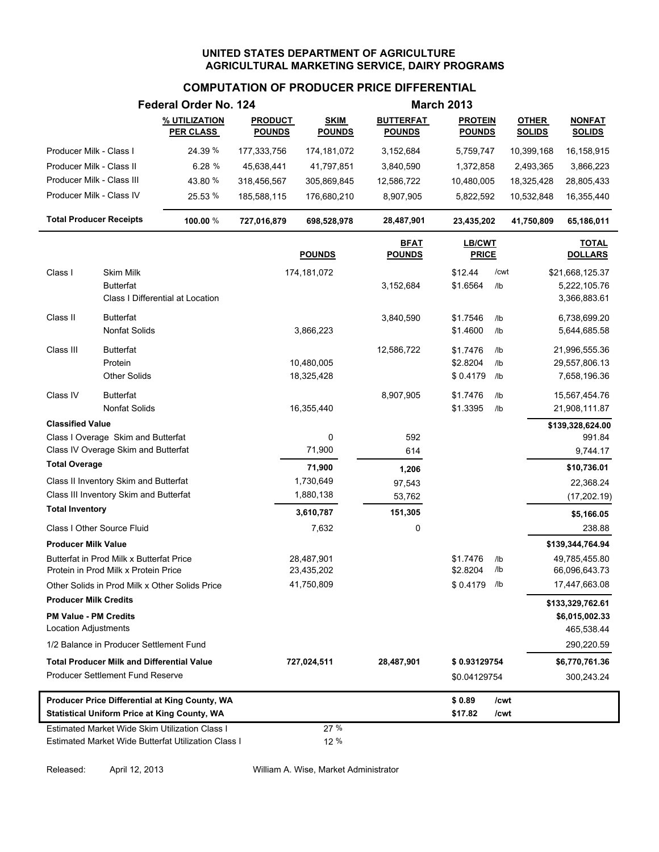# **COMPUTATION OF PRODUCER PRICE DIFFERENTIAL**

|                                |                                                                                  | Federal Order No. 124                               |                                 |                              |                                   | <b>March 2013</b>               |            |                               |                                |
|--------------------------------|----------------------------------------------------------------------------------|-----------------------------------------------------|---------------------------------|------------------------------|-----------------------------------|---------------------------------|------------|-------------------------------|--------------------------------|
|                                |                                                                                  | % UTILIZATION<br><b>PER CLASS</b>                   | <b>PRODUCT</b><br><b>POUNDS</b> | <b>SKIM</b><br><b>POUNDS</b> | <b>BUTTERFAT</b><br><b>POUNDS</b> | <b>PROTEIN</b><br><b>POUNDS</b> |            | <b>OTHER</b><br><b>SOLIDS</b> | <b>NONFAT</b><br><b>SOLIDS</b> |
| Producer Milk - Class I        |                                                                                  | 24.39 %                                             | 177,333,756                     | 174,181,072                  | 3,152,684                         | 5,759,747                       |            | 10,399,168                    | 16,158,915                     |
| Producer Milk - Class II       |                                                                                  | 6.28 %                                              | 45,638,441                      | 41,797,851                   | 3,840,590                         | 1,372,858                       |            | 2,493,365                     | 3,866,223                      |
| Producer Milk - Class III      |                                                                                  | 43.80 %                                             | 318,456,567                     | 305,869,845                  | 12,586,722                        | 10,480,005                      |            | 18,325,428                    | 28,805,433                     |
| Producer Milk - Class IV       |                                                                                  | 25.53 %                                             | 185,588,115                     | 176,680,210                  | 8,907,905                         | 5,822,592                       |            | 10,532,848                    | 16,355,440                     |
| <b>Total Producer Receipts</b> |                                                                                  | 100.00 %                                            | 727,016,879                     | 698,528,978                  | 28,487,901                        | 23,435,202                      |            | 41,750,809                    | 65,186,011                     |
|                                |                                                                                  |                                                     |                                 | <b>POUNDS</b>                | <b>BFAT</b><br><b>POUNDS</b>      | <b>LB/CWT</b><br><b>PRICE</b>   |            |                               | <b>TOTAL</b><br><b>DOLLARS</b> |
| Class I                        | Skim Milk                                                                        |                                                     |                                 | 174,181,072                  |                                   | \$12.44                         | /cwt       |                               | \$21,668,125.37                |
|                                | <b>Butterfat</b>                                                                 |                                                     |                                 |                              | 3,152,684                         | \$1.6564                        | $/$ lb     |                               | 5,222,105.76                   |
|                                |                                                                                  | Class I Differential at Location                    |                                 |                              |                                   |                                 |            |                               | 3,366,883.61                   |
| Class II                       | <b>Butterfat</b>                                                                 |                                                     |                                 |                              | 3,840,590                         | \$1.7546                        | /lb        |                               | 6,738,699.20                   |
|                                | <b>Nonfat Solids</b>                                                             |                                                     |                                 | 3,866,223                    |                                   | \$1.4600                        | /lb        |                               | 5,644,685.58                   |
| Class III                      | <b>Butterfat</b>                                                                 |                                                     |                                 |                              | 12,586,722                        | \$1.7476                        | /lb        |                               | 21,996,555.36                  |
|                                | Protein                                                                          |                                                     |                                 | 10,480,005                   |                                   | \$2.8204                        | /lb        |                               | 29,557,806.13                  |
|                                | <b>Other Solids</b>                                                              |                                                     |                                 | 18,325,428                   |                                   | \$0.4179                        | /lb        |                               | 7,658,196.36                   |
| Class IV                       | <b>Butterfat</b>                                                                 |                                                     |                                 |                              | 8,907,905                         | \$1.7476                        | /lb        |                               | 15,567,454.76                  |
|                                | <b>Nonfat Solids</b>                                                             |                                                     |                                 | 16,355,440                   |                                   | \$1.3395                        | /lb        |                               | 21,908,111.87                  |
| <b>Classified Value</b>        |                                                                                  |                                                     |                                 |                              |                                   |                                 |            |                               | \$139,328,624.00               |
|                                | Class I Overage Skim and Butterfat                                               |                                                     |                                 | 0                            | 592                               |                                 |            |                               | 991.84                         |
|                                | Class IV Overage Skim and Butterfat                                              |                                                     |                                 | 71,900                       | 614                               |                                 |            |                               | 9,744.17                       |
| <b>Total Overage</b>           |                                                                                  |                                                     |                                 | 71,900                       | 1,206                             |                                 |            |                               | \$10,736.01                    |
|                                | Class II Inventory Skim and Butterfat                                            |                                                     |                                 | 1,730,649                    | 97,543                            |                                 |            |                               | 22,368.24                      |
| <b>Total Inventory</b>         | Class III Inventory Skim and Butterfat                                           |                                                     |                                 | 1,880,138                    | 53,762                            |                                 |            |                               | (17, 202.19)                   |
|                                |                                                                                  |                                                     |                                 | 3,610,787                    | 151,305                           |                                 |            |                               | \$5,166.05                     |
|                                | Class I Other Source Fluid                                                       |                                                     |                                 | 7,632                        | 0                                 |                                 |            |                               | 238.88                         |
| <b>Producer Milk Value</b>     |                                                                                  |                                                     |                                 |                              |                                   |                                 |            |                               | \$139,344,764.94               |
|                                | Butterfat in Prod Milk x Butterfat Price<br>Protein in Prod Milk x Protein Price |                                                     |                                 | 28,487,901<br>23,435,202     |                                   | \$1.7476<br>\$2.8204            | /lb<br>/lb |                               | 49,785,455.80<br>66,096,643.73 |
|                                |                                                                                  | Other Solids in Prod Milk x Other Solids Price      |                                 | 41,750,809                   |                                   | \$0.4179 /lb                    |            |                               | 17,447,663.08                  |
| <b>Producer Milk Credits</b>   |                                                                                  |                                                     |                                 |                              |                                   |                                 |            |                               | \$133,329,762.61               |
| <b>PM Value - PM Credits</b>   |                                                                                  |                                                     |                                 |                              |                                   |                                 |            |                               | \$6,015,002.33                 |
| Location Adjustments           |                                                                                  |                                                     |                                 |                              |                                   |                                 |            |                               | 465,538.44                     |
|                                | 1/2 Balance in Producer Settlement Fund                                          |                                                     |                                 |                              |                                   |                                 |            |                               | 290,220.59                     |
|                                | <b>Total Producer Milk and Differential Value</b>                                |                                                     |                                 | 727,024,511                  | 28,487,901                        | \$0.93129754                    |            |                               | \$6,770,761.36                 |
|                                | Producer Settlement Fund Reserve                                                 |                                                     |                                 |                              |                                   | \$0.04129754                    |            |                               | 300,243.24                     |
|                                |                                                                                  | Producer Price Differential at King County, WA      |                                 |                              |                                   | \$0.89                          | /cwt       |                               |                                |
|                                |                                                                                  | <b>Statistical Uniform Price at King County, WA</b> |                                 |                              |                                   | \$17.82                         | /cwt       |                               |                                |
|                                |                                                                                  | Estimated Market Wide Skim Utilization Class I      |                                 | 27 %                         |                                   |                                 |            |                               |                                |
|                                |                                                                                  | Estimated Market Wide Butterfat Utilization Class I |                                 | 12 %                         |                                   |                                 |            |                               |                                |

Released: April 12, 2013 William A. Wise, Market Administrator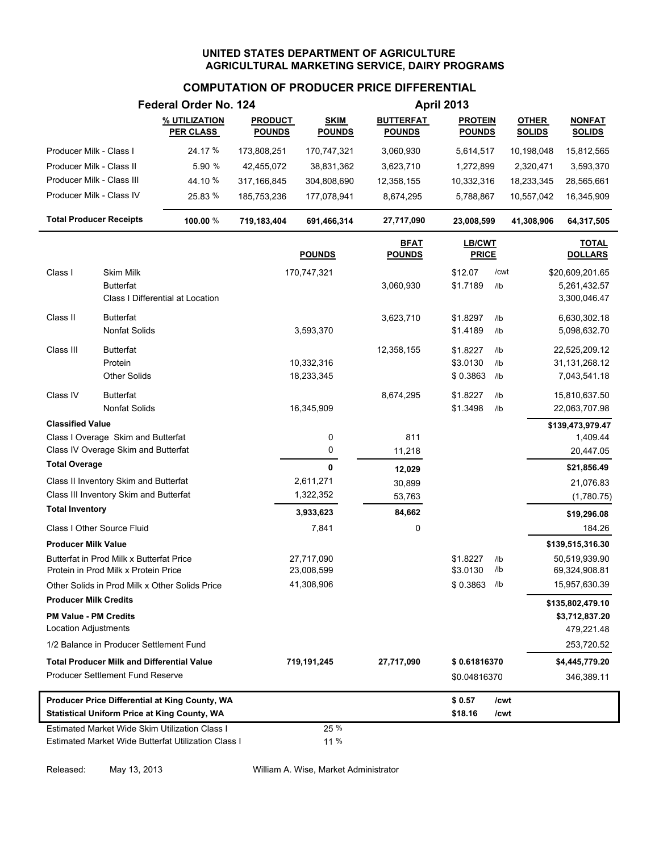### **COMPUTATION OF PRODUCER PRICE DIFFERENTIAL**

|                                |                                                                                  | Federal Order No. 124                                                                                 |                                 |                              |                                   |                                 |                 | <b>April 2013</b>             |                                |  |  |
|--------------------------------|----------------------------------------------------------------------------------|-------------------------------------------------------------------------------------------------------|---------------------------------|------------------------------|-----------------------------------|---------------------------------|-----------------|-------------------------------|--------------------------------|--|--|
|                                |                                                                                  | % UTILIZATION<br><b>PER CLASS</b>                                                                     | <b>PRODUCT</b><br><b>POUNDS</b> | <b>SKIM</b><br><b>POUNDS</b> | <b>BUTTERFAT</b><br><b>POUNDS</b> | <b>PROTEIN</b><br><b>POUNDS</b> |                 | <b>OTHER</b><br><b>SOLIDS</b> | <b>NONFAT</b><br><b>SOLIDS</b> |  |  |
| Producer Milk - Class I        |                                                                                  | 24.17 %                                                                                               | 173,808,251                     | 170,747,321                  | 3,060,930                         | 5,614,517                       |                 | 10,198,048                    | 15,812,565                     |  |  |
| Producer Milk - Class II       |                                                                                  | 5.90 %                                                                                                | 42,455,072                      | 38,831,362                   | 3,623,710                         | 1,272,899                       |                 | 2,320,471                     | 3,593,370                      |  |  |
| Producer Milk - Class III      |                                                                                  | 44.10 %                                                                                               | 317,166,845                     | 304,808,690                  | 12,358,155                        | 10,332,316                      |                 | 18,233,345                    | 28,565,661                     |  |  |
| Producer Milk - Class IV       |                                                                                  | 25.83 %                                                                                               | 185,753,236                     | 177,078,941                  | 8,674,295                         | 5,788,867                       |                 | 10,557,042                    | 16,345,909                     |  |  |
| <b>Total Producer Receipts</b> |                                                                                  | 100.00 %                                                                                              | 719,183,404                     | 691,466,314                  | 27,717,090                        | 23,008,599                      |                 | 41,308,906                    | 64,317,505                     |  |  |
|                                |                                                                                  |                                                                                                       |                                 | <b>POUNDS</b>                | <b>BFAT</b><br><b>POUNDS</b>      | <b>LB/CWT</b><br><b>PRICE</b>   |                 |                               | <b>TOTAL</b><br><b>DOLLARS</b> |  |  |
| Class I                        | Skim Milk                                                                        |                                                                                                       |                                 | 170,747,321                  |                                   | \$12.07                         | /cwt            |                               | \$20,609,201.65                |  |  |
|                                | <b>Butterfat</b>                                                                 |                                                                                                       |                                 |                              | 3,060,930                         | \$1.7189                        | /1 <sub>b</sub> |                               | 5,261,432.57                   |  |  |
|                                |                                                                                  | Class I Differential at Location                                                                      |                                 |                              |                                   |                                 |                 |                               | 3,300,046.47                   |  |  |
| Class II                       | <b>Butterfat</b>                                                                 |                                                                                                       |                                 |                              | 3,623,710                         | \$1.8297                        | /lb             |                               | 6,630,302.18                   |  |  |
|                                | <b>Nonfat Solids</b>                                                             |                                                                                                       |                                 | 3,593,370                    |                                   | \$1.4189                        | /lb             |                               | 5,098,632.70                   |  |  |
| Class III                      | <b>Butterfat</b>                                                                 |                                                                                                       |                                 |                              | 12,358,155                        | \$1.8227                        | /lb             |                               | 22,525,209.12                  |  |  |
|                                | Protein                                                                          |                                                                                                       |                                 | 10,332,316                   |                                   | \$3.0130                        | /lb             |                               | 31, 131, 268. 12               |  |  |
|                                | <b>Other Solids</b>                                                              |                                                                                                       |                                 | 18,233,345                   |                                   | \$0.3863                        | /lb             |                               | 7,043,541.18                   |  |  |
| Class IV                       | <b>Butterfat</b>                                                                 |                                                                                                       |                                 |                              | 8,674,295                         | \$1.8227                        | /lb             |                               | 15,810,637.50                  |  |  |
|                                | <b>Nonfat Solids</b>                                                             |                                                                                                       |                                 | 16,345,909                   |                                   | \$1.3498                        | /lb             |                               | 22,063,707.98                  |  |  |
| <b>Classified Value</b>        |                                                                                  |                                                                                                       |                                 |                              |                                   |                                 |                 |                               | \$139,473,979.47               |  |  |
|                                | Class I Overage Skim and Butterfat                                               |                                                                                                       |                                 | 0                            | 811                               |                                 |                 |                               | 1,409.44                       |  |  |
|                                | Class IV Overage Skim and Butterfat                                              |                                                                                                       |                                 | 0                            | 11,218                            |                                 |                 |                               | 20,447.05                      |  |  |
| <b>Total Overage</b>           |                                                                                  |                                                                                                       |                                 | 0                            | 12,029                            |                                 |                 |                               | \$21,856.49                    |  |  |
|                                | Class II Inventory Skim and Butterfat                                            |                                                                                                       |                                 | 2,611,271                    | 30,899                            |                                 |                 |                               | 21,076.83                      |  |  |
|                                | Class III Inventory Skim and Butterfat                                           |                                                                                                       |                                 | 1,322,352                    | 53,763                            |                                 |                 |                               | (1,780.75)                     |  |  |
| <b>Total Inventory</b>         |                                                                                  |                                                                                                       |                                 | 3,933,623                    | 84,662                            |                                 |                 |                               | \$19,296.08                    |  |  |
|                                | Class I Other Source Fluid                                                       |                                                                                                       |                                 | 7,841                        | 0                                 |                                 |                 |                               | 184.26                         |  |  |
| <b>Producer Milk Value</b>     |                                                                                  |                                                                                                       |                                 |                              |                                   |                                 |                 |                               | \$139,515,316.30               |  |  |
|                                | Butterfat in Prod Milk x Butterfat Price<br>Protein in Prod Milk x Protein Price |                                                                                                       |                                 | 27,717,090<br>23,008,599     |                                   | \$1.8227<br>\$3.0130            | /lb<br>/lb      |                               | 50,519,939.90<br>69,324,908.81 |  |  |
|                                |                                                                                  | Other Solids in Prod Milk x Other Solids Price                                                        |                                 | 41,308,906                   |                                   | \$0.3863                        | /lb             |                               | 15,957,630.39                  |  |  |
| <b>Producer Milk Credits</b>   |                                                                                  |                                                                                                       |                                 |                              |                                   |                                 |                 |                               | \$135,802,479.10               |  |  |
| <b>PM Value - PM Credits</b>   |                                                                                  |                                                                                                       |                                 |                              |                                   |                                 |                 |                               | \$3,712,837.20                 |  |  |
| Location Adjustments           |                                                                                  |                                                                                                       |                                 |                              |                                   |                                 |                 |                               | 479,221.48                     |  |  |
|                                | 1/2 Balance in Producer Settlement Fund                                          |                                                                                                       |                                 |                              |                                   |                                 |                 |                               | 253,720.52                     |  |  |
|                                | <b>Total Producer Milk and Differential Value</b>                                |                                                                                                       |                                 | 719,191,245                  | 27,717,090                        | \$0.61816370                    |                 |                               | \$4,445,779.20                 |  |  |
|                                | Producer Settlement Fund Reserve                                                 |                                                                                                       |                                 |                              |                                   | \$0.04816370                    |                 |                               | 346,389.11                     |  |  |
|                                |                                                                                  | Producer Price Differential at King County, WA<br><b>Statistical Uniform Price at King County, WA</b> |                                 |                              |                                   | \$0.57<br>\$18.16               | /cwt<br>/cwt    |                               |                                |  |  |
|                                |                                                                                  | Estimated Market Wide Skim Utilization Class I                                                        |                                 | 25 %                         |                                   |                                 |                 |                               |                                |  |  |
|                                |                                                                                  | Estimated Market Wide Butterfat Utilization Class I                                                   |                                 | 11 %                         |                                   |                                 |                 |                               |                                |  |  |

Released: May 13, 2013 William A. Wise, Market Administrator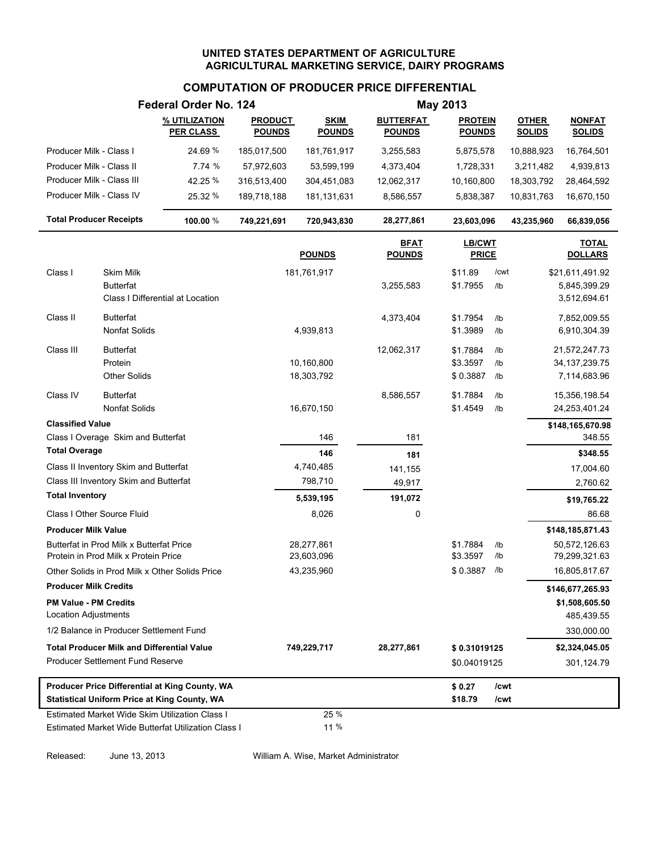# **COMPUTATION OF PRODUCER PRICE DIFFERENTIAL**

|                                |                                                                                  | Federal Order No. 124                               |                                 |                              |                                   | <b>May 2013</b>                 |                 |                               |                                |
|--------------------------------|----------------------------------------------------------------------------------|-----------------------------------------------------|---------------------------------|------------------------------|-----------------------------------|---------------------------------|-----------------|-------------------------------|--------------------------------|
|                                |                                                                                  | % UTILIZATION<br><b>PER CLASS</b>                   | <b>PRODUCT</b><br><b>POUNDS</b> | <b>SKIM</b><br><b>POUNDS</b> | <b>BUTTERFAT</b><br><b>POUNDS</b> | <b>PROTEIN</b><br><b>POUNDS</b> |                 | <b>OTHER</b><br><b>SOLIDS</b> | <b>NONFAT</b><br><b>SOLIDS</b> |
| Producer Milk - Class I        |                                                                                  | 24.69%                                              | 185,017,500                     | 181,761,917                  | 3,255,583                         | 5,875,578                       |                 | 10,888,923                    | 16,764,501                     |
| Producer Milk - Class II       |                                                                                  | 7.74 %                                              | 57,972,603                      | 53,599,199                   | 4,373,404                         | 1,728,331                       |                 | 3,211,482                     | 4,939,813                      |
| Producer Milk - Class III      |                                                                                  | 42.25 %                                             | 316,513,400                     | 304,451,083                  | 12,062,317                        | 10,160,800                      |                 | 18,303,792                    | 28,464,592                     |
| Producer Milk - Class IV       |                                                                                  | 25.32 %                                             | 189,718,188                     | 181,131,631                  | 8,586,557                         | 5,838,387                       |                 | 10,831,763                    | 16,670,150                     |
| <b>Total Producer Receipts</b> |                                                                                  | 100.00 %                                            | 749,221,691                     | 720,943,830                  | 28,277,861                        | 23,603,096                      |                 | 43,235,960                    | 66,839,056                     |
|                                |                                                                                  |                                                     |                                 | <b>POUNDS</b>                | <b>BFAT</b><br><b>POUNDS</b>      | LB/CWT<br><b>PRICE</b>          |                 |                               | <b>TOTAL</b><br><b>DOLLARS</b> |
| Class I                        | Skim Milk                                                                        |                                                     |                                 | 181,761,917                  |                                   | \$11.89                         | /cwt            |                               | \$21,611,491.92                |
|                                | <b>Butterfat</b>                                                                 |                                                     |                                 |                              | 3,255,583                         | \$1.7955                        | $/$ lb          |                               | 5,845,399.29                   |
|                                |                                                                                  | Class I Differential at Location                    |                                 |                              |                                   |                                 |                 |                               | 3,512,694.61                   |
| Class II                       | <b>Butterfat</b>                                                                 |                                                     |                                 |                              | 4,373,404                         | \$1.7954                        | $/$ lb          |                               | 7,852,009.55                   |
|                                | <b>Nonfat Solids</b>                                                             |                                                     |                                 | 4,939,813                    |                                   | \$1.3989                        | I <sub>1</sub>  |                               | 6,910,304.39                   |
| Class III                      | <b>Butterfat</b>                                                                 |                                                     |                                 |                              | 12,062,317                        | \$1.7884                        | /1 <sub>b</sub> |                               | 21,572,247.73                  |
|                                | Protein                                                                          |                                                     |                                 | 10,160,800                   |                                   | \$3.3597                        | /1 <sub>b</sub> |                               | 34, 137, 239. 75               |
|                                | <b>Other Solids</b>                                                              |                                                     |                                 | 18,303,792                   |                                   | \$0.3887                        | /1 <sub>b</sub> |                               | 7,114,683.96                   |
| Class IV                       | <b>Butterfat</b>                                                                 |                                                     |                                 |                              | 8,586,557                         | \$1.7884                        | /1 <sub>b</sub> |                               | 15,356,198.54                  |
|                                | <b>Nonfat Solids</b>                                                             |                                                     |                                 | 16,670,150                   |                                   | \$1.4549                        | /1 <sub>b</sub> |                               | 24,253,401.24                  |
| <b>Classified Value</b>        |                                                                                  |                                                     |                                 |                              |                                   |                                 |                 |                               | \$148,165,670.98               |
|                                | Class I Overage Skim and Butterfat                                               |                                                     |                                 | 146                          | 181                               |                                 |                 |                               | 348.55                         |
| <b>Total Overage</b>           |                                                                                  |                                                     |                                 | 146                          | 181                               |                                 |                 |                               | \$348.55                       |
|                                | Class II Inventory Skim and Butterfat                                            |                                                     |                                 | 4,740,485                    | 141,155                           |                                 |                 |                               | 17,004.60                      |
|                                | Class III Inventory Skim and Butterfat                                           |                                                     |                                 | 798,710                      | 49,917                            |                                 |                 |                               | 2,760.62                       |
| <b>Total Inventory</b>         |                                                                                  |                                                     |                                 | 5,539,195                    | 191,072                           |                                 |                 |                               | \$19,765.22                    |
|                                | Class I Other Source Fluid                                                       |                                                     |                                 | 8,026                        | 0                                 |                                 |                 |                               | 86.68                          |
| <b>Producer Milk Value</b>     |                                                                                  |                                                     |                                 |                              |                                   |                                 |                 |                               | \$148,185,871.43               |
|                                | Butterfat in Prod Milk x Butterfat Price<br>Protein in Prod Milk x Protein Price |                                                     |                                 | 28,277,861<br>23,603,096     |                                   | \$1.7884<br>\$3.3597            | /lb<br>/lb      |                               | 50,572,126.63<br>79,299,321.63 |
|                                |                                                                                  | Other Solids in Prod Milk x Other Solids Price      |                                 | 43,235,960                   |                                   | \$0.3887                        | /lb             |                               | 16,805,817.67                  |
| <b>Producer Milk Credits</b>   |                                                                                  |                                                     |                                 |                              |                                   |                                 |                 |                               | \$146,677,265.93               |
| <b>PM Value - PM Credits</b>   |                                                                                  |                                                     |                                 |                              |                                   |                                 |                 |                               | \$1,508,605.50                 |
| <b>Location Adjustments</b>    |                                                                                  |                                                     |                                 |                              |                                   |                                 |                 |                               | 485,439.55                     |
|                                | 1/2 Balance in Producer Settlement Fund                                          |                                                     |                                 |                              |                                   |                                 |                 |                               | 330,000.00                     |
|                                | <b>Total Producer Milk and Differential Value</b>                                |                                                     |                                 | 749,229,717                  | 28,277,861                        | \$0.31019125                    |                 |                               | \$2,324,045.05                 |
|                                | Producer Settlement Fund Reserve                                                 |                                                     |                                 |                              |                                   | \$0.04019125                    |                 |                               | 301,124.79                     |
|                                |                                                                                  | Producer Price Differential at King County, WA      |                                 |                              |                                   | \$0.27                          | /cwt            |                               |                                |
|                                |                                                                                  | <b>Statistical Uniform Price at King County, WA</b> |                                 |                              |                                   | \$18.79                         | /cwt            |                               |                                |
|                                |                                                                                  | Estimated Market Wide Skim Utilization Class I      |                                 | 25 %                         |                                   |                                 |                 |                               |                                |
|                                |                                                                                  | Estimated Market Wide Butterfat Utilization Class I |                                 | 11 %                         |                                   |                                 |                 |                               |                                |

Released: June 13, 2013 William A. Wise, Market Administrator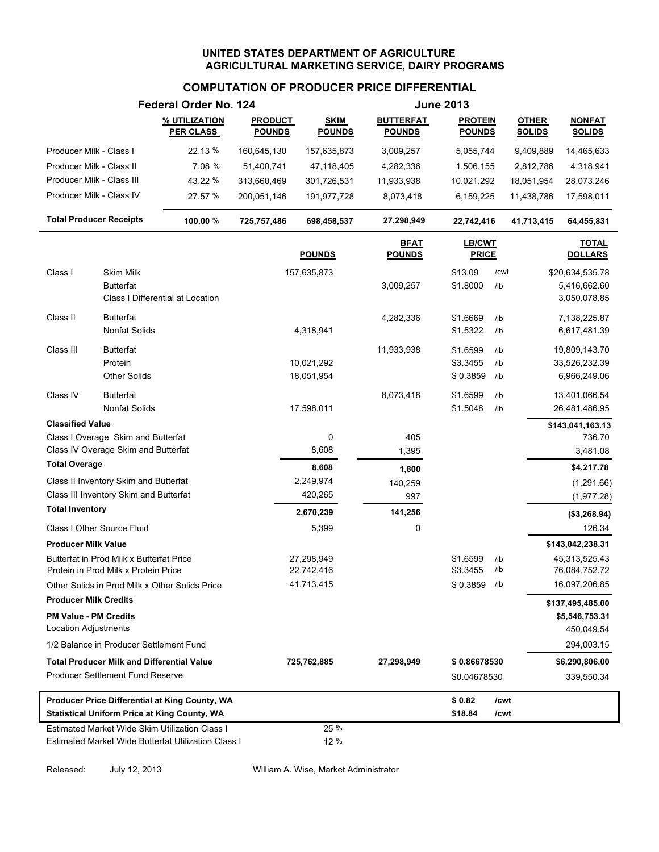### **COMPUTATION OF PRODUCER PRICE DIFFERENTIAL**

|                                |                                                   | Federal Order No. 124                               |                                 | <b>June 2013</b>             |                                   |                                 |      |                               |                                   |
|--------------------------------|---------------------------------------------------|-----------------------------------------------------|---------------------------------|------------------------------|-----------------------------------|---------------------------------|------|-------------------------------|-----------------------------------|
|                                |                                                   | % UTILIZATION<br><u>PER CLASS_</u>                  | <b>PRODUCT</b><br><b>POUNDS</b> | <b>SKIM</b><br><b>POUNDS</b> | <b>BUTTERFAT</b><br><b>POUNDS</b> | <b>PROTEIN</b><br><b>POUNDS</b> |      | <b>OTHER</b><br><b>SOLIDS</b> | <b>NONFAT</b><br><b>SOLIDS</b>    |
| Producer Milk - Class I        |                                                   | 22.13 %                                             | 160,645,130                     | 157,635,873                  | 3,009,257                         | 5,055,744                       |      | 9,409,889                     | 14,465,633                        |
| Producer Milk - Class II       |                                                   | 7.08 %                                              | 51,400,741                      | 47,118,405                   | 4,282,336                         | 1,506,155                       |      | 2,812,786                     | 4,318,941                         |
| Producer Milk - Class III      |                                                   | 43.22 %                                             | 313,660,469                     | 301,726,531                  | 11,933,938                        | 10,021,292                      |      | 18,051,954                    | 28,073,246                        |
| Producer Milk - Class IV       |                                                   | 27.57 %                                             | 200,051,146                     | 191,977,728                  | 8,073,418                         | 6,159,225                       |      | 11,438,786                    | 17,598,011                        |
| <b>Total Producer Receipts</b> |                                                   | 100.00 %                                            | 725,757,486                     | 698,458,537                  | 27,298,949                        | 22,742,416                      |      | 41,713,415                    | 64,455,831                        |
|                                |                                                   |                                                     |                                 | <b>POUNDS</b>                | <u>BFAT</u><br><b>POUNDS</b>      | LB/CWT<br><b>PRICE</b>          |      |                               | <b>TOTAL</b><br><b>DOLLARS</b>    |
| Class I                        | Skim Milk                                         |                                                     |                                 | 157,635,873                  |                                   | \$13.09                         | /cwt |                               | \$20,634,535.78                   |
|                                | <b>Butterfat</b>                                  |                                                     |                                 |                              | 3,009,257                         | \$1.8000                        | /lb  |                               | 5,416,662.60                      |
|                                |                                                   | Class I Differential at Location                    |                                 |                              |                                   |                                 |      |                               | 3,050,078.85                      |
| Class II                       | <b>Butterfat</b>                                  |                                                     |                                 |                              | 4,282,336                         | \$1.6669                        | /lb  |                               | 7,138,225.87                      |
|                                | Nonfat Solids                                     |                                                     |                                 | 4,318,941                    |                                   | \$1.5322                        | /lb  |                               | 6,617,481.39                      |
| Class III                      | <b>Butterfat</b>                                  |                                                     |                                 |                              | 11,933,938                        | \$1.6599                        | /lb  |                               | 19,809,143.70                     |
|                                | Protein                                           |                                                     |                                 | 10,021,292                   |                                   | \$3.3455                        | /lb  |                               | 33,526,232.39                     |
|                                | <b>Other Solids</b>                               |                                                     |                                 | 18,051,954                   |                                   | \$0.3859                        | /lb  |                               | 6,966,249.06                      |
| Class IV                       | <b>Butterfat</b>                                  |                                                     |                                 |                              | 8,073,418                         | \$1.6599                        | /lb  |                               | 13,401,066.54                     |
|                                | <b>Nonfat Solids</b>                              |                                                     |                                 | 17,598,011                   |                                   | \$1.5048                        | /lb  |                               | 26,481,486.95                     |
| <b>Classified Value</b>        |                                                   |                                                     |                                 |                              |                                   |                                 |      |                               | \$143,041,163.13                  |
|                                | Class I Overage Skim and Butterfat                |                                                     |                                 | 0                            | 405                               |                                 |      |                               | 736.70                            |
|                                | Class IV Overage Skim and Butterfat               |                                                     |                                 | 8,608                        | 1,395                             |                                 |      |                               | 3,481.08                          |
| <b>Total Overage</b>           |                                                   |                                                     |                                 | 8,608                        | 1,800                             |                                 |      |                               | \$4,217.78                        |
|                                | Class II Inventory Skim and Butterfat             |                                                     |                                 | 2,249,974                    | 140,259                           |                                 |      |                               | (1, 291.66)                       |
| <b>Total Inventory</b>         | Class III Inventory Skim and Butterfat            |                                                     |                                 | 420,265                      | 997                               |                                 |      |                               | (1,977.28)                        |
|                                | Class I Other Source Fluid                        |                                                     |                                 | 2,670,239<br>5,399           | 141,256                           |                                 |      |                               | (\$3,268.94)<br>126.34            |
|                                |                                                   |                                                     |                                 |                              | 0                                 |                                 |      |                               |                                   |
| <b>Producer Milk Value</b>     | Butterfat in Prod Milk x Butterfat Price          |                                                     |                                 | 27,298,949                   |                                   | \$1.6599                        | /lb  |                               | \$143,042,238.31<br>45,313,525.43 |
|                                | Protein in Prod Milk x Protein Price              |                                                     |                                 | 22,742,416                   |                                   | \$3.3455                        | /lb  |                               | 76,084,752.72                     |
|                                |                                                   | Other Solids in Prod Milk x Other Solids Price      |                                 | 41,713,415                   |                                   | \$0.3859                        | /lb  |                               | 16,097,206.85                     |
| <b>Producer Milk Credits</b>   |                                                   |                                                     |                                 |                              |                                   |                                 |      |                               | \$137,495,485.00                  |
| <b>PM Value - PM Credits</b>   |                                                   |                                                     |                                 |                              |                                   |                                 |      |                               | \$5,546,753.31                    |
| Location Adjustments           |                                                   |                                                     |                                 |                              |                                   |                                 |      |                               | 450,049.54                        |
|                                | 1/2 Balance in Producer Settlement Fund           |                                                     |                                 |                              |                                   |                                 |      |                               | 294,003.15                        |
|                                | <b>Total Producer Milk and Differential Value</b> |                                                     |                                 | 725,762,885                  | 27,298,949                        | \$0.86678530                    |      |                               | \$6,290,806.00                    |
|                                | <b>Producer Settlement Fund Reserve</b>           |                                                     |                                 |                              |                                   | \$0.04678530                    |      |                               | 339,550.34                        |
|                                |                                                   | Producer Price Differential at King County, WA      |                                 |                              |                                   | \$0.82                          | /cwt |                               |                                   |
|                                |                                                   | <b>Statistical Uniform Price at King County, WA</b> |                                 |                              |                                   | \$18.84                         | /cwt |                               |                                   |
|                                |                                                   | Estimated Market Wide Skim Utilization Class I      |                                 | 25 %                         |                                   |                                 |      |                               |                                   |
|                                |                                                   | Estimated Market Wide Butterfat Utilization Class I |                                 | 12 %                         |                                   |                                 |      |                               |                                   |

Released: July 12, 2013 William A. Wise, Market Administrator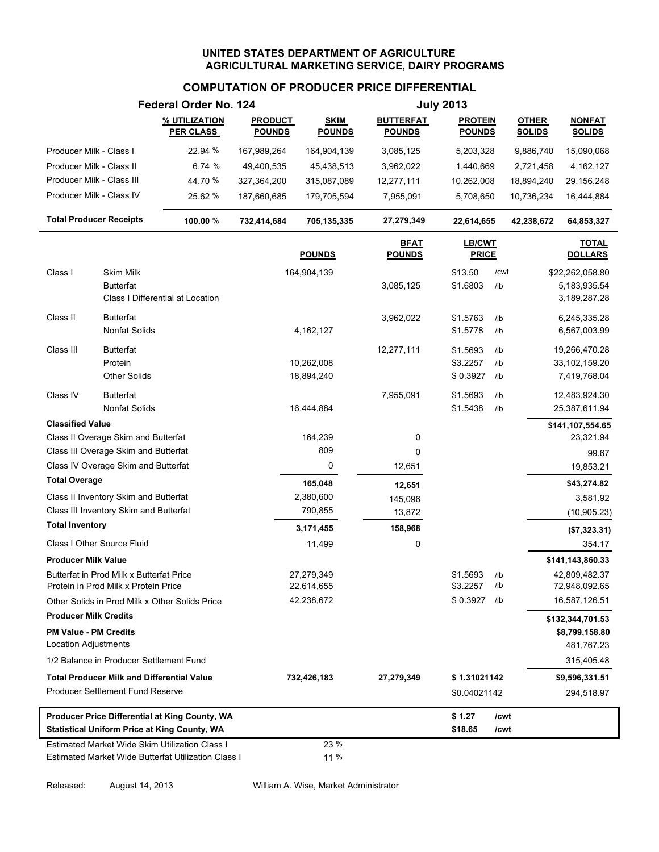# **COMPUTATION OF PRODUCER PRICE DIFFERENTIAL**

|                                |                                                   | Federal Order No. 124                               |                                 |                              |                                   | <b>July 2013</b>                |      |                               |                                |
|--------------------------------|---------------------------------------------------|-----------------------------------------------------|---------------------------------|------------------------------|-----------------------------------|---------------------------------|------|-------------------------------|--------------------------------|
|                                |                                                   | % UTILIZATION<br><b>PER CLASS</b>                   | <b>PRODUCT</b><br><b>POUNDS</b> | <b>SKIM</b><br><b>POUNDS</b> | <b>BUTTERFAT</b><br><b>POUNDS</b> | <b>PROTEIN</b><br><b>POUNDS</b> |      | <b>OTHER</b><br><b>SOLIDS</b> | <b>NONFAT</b><br><b>SOLIDS</b> |
| Producer Milk - Class I        |                                                   | 22.94 %                                             | 167,989,264                     | 164,904,139                  | 3,085,125                         | 5,203,328                       |      | 9,886,740                     | 15,090,068                     |
| Producer Milk - Class II       |                                                   | 6.74 %                                              | 49,400,535                      | 45,438,513                   | 3,962,022                         | 1,440,669                       |      | 2,721,458                     | 4,162,127                      |
| Producer Milk - Class III      |                                                   | 44.70 %                                             | 327,364,200                     | 315,087,089                  | 12,277,111                        | 10,262,008                      |      | 18,894,240                    | 29,156,248                     |
| Producer Milk - Class IV       |                                                   | 25.62 %                                             | 187,660,685                     | 179,705,594                  | 7,955,091                         | 5,708,650                       |      | 10,736,234                    | 16,444,884                     |
| <b>Total Producer Receipts</b> |                                                   | 100.00 %                                            | 732,414,684                     | 705,135,335                  | 27,279,349                        | 22,614,655                      |      | 42,238,672                    | 64,853,327                     |
|                                |                                                   |                                                     |                                 | <b>POUNDS</b>                | <u>BFAT</u><br><b>POUNDS</b>      | <b>LB/CWT</b><br><b>PRICE</b>   |      |                               | <b>TOTAL</b><br><b>DOLLARS</b> |
| Class I                        | Skim Milk                                         |                                                     |                                 | 164,904,139                  |                                   | \$13.50                         | /cwt |                               | \$22,262,058.80                |
|                                | <b>Butterfat</b>                                  |                                                     |                                 |                              | 3,085,125                         | \$1.6803                        | /lb  |                               | 5, 183, 935.54                 |
|                                |                                                   | Class I Differential at Location                    |                                 |                              |                                   |                                 |      |                               | 3,189,287.28                   |
| Class II                       | <b>Butterfat</b>                                  |                                                     |                                 |                              | 3,962,022                         | \$1.5763                        | /lb  |                               | 6,245,335.28                   |
|                                | <b>Nonfat Solids</b>                              |                                                     |                                 | 4,162,127                    |                                   | \$1.5778                        | /lb  |                               | 6,567,003.99                   |
| Class III                      | <b>Butterfat</b>                                  |                                                     |                                 |                              | 12,277,111                        | \$1.5693                        | /lb  |                               | 19,266,470.28                  |
|                                | Protein                                           |                                                     |                                 | 10,262,008                   |                                   | \$3.2257                        | /lb  |                               | 33,102,159.20                  |
|                                | <b>Other Solids</b>                               |                                                     |                                 | 18,894,240                   |                                   | \$0.3927                        | /lb  |                               | 7,419,768.04                   |
| Class IV                       | <b>Butterfat</b>                                  |                                                     |                                 |                              | 7,955,091                         | \$1.5693                        | /lb  |                               | 12,483,924.30                  |
|                                | <b>Nonfat Solids</b>                              |                                                     |                                 | 16,444,884                   |                                   | \$1.5438                        | /lb  |                               | 25,387,611.94                  |
| <b>Classified Value</b>        |                                                   |                                                     |                                 |                              |                                   |                                 |      |                               | \$141,107,554.65               |
|                                | Class II Overage Skim and Butterfat               |                                                     |                                 | 164,239                      | 0                                 |                                 |      |                               | 23,321.94                      |
|                                | Class III Overage Skim and Butterfat              |                                                     |                                 | 809                          | 0                                 |                                 |      |                               | 99.67                          |
|                                | Class IV Overage Skim and Butterfat               |                                                     |                                 | 0                            | 12,651                            |                                 |      |                               | 19,853.21                      |
| <b>Total Overage</b>           |                                                   |                                                     |                                 | 165,048                      | 12,651                            |                                 |      |                               | \$43,274.82                    |
|                                | Class II Inventory Skim and Butterfat             |                                                     |                                 | 2,380,600                    | 145,096                           |                                 |      |                               | 3,581.92                       |
|                                | Class III Inventory Skim and Butterfat            |                                                     |                                 | 790,855                      | 13,872                            |                                 |      |                               | (10,905.23)                    |
| <b>Total Inventory</b>         |                                                   |                                                     |                                 | 3,171,455                    | 158,968                           |                                 |      |                               | (\$7,323.31)                   |
|                                | Class I Other Source Fluid                        |                                                     |                                 | 11,499                       | 0                                 |                                 |      |                               | 354.17                         |
| <b>Producer Milk Value</b>     |                                                   |                                                     |                                 |                              |                                   |                                 |      |                               | \$141,143,860.33               |
|                                | Butterfat in Prod Milk x Butterfat Price          |                                                     |                                 | 27,279,349                   |                                   | \$1.5693                        | /lb  |                               | 42,809,482.37                  |
|                                | Protein in Prod Milk x Protein Price              |                                                     |                                 | 22,614,655                   |                                   | \$3.2257                        | /lb  |                               | 72,948,092.65                  |
|                                |                                                   | Other Solids in Prod Milk x Other Solids Price      |                                 | 42,238,672                   |                                   | \$0.3927                        | /lb  |                               | 16,587,126.51                  |
| <b>Producer Milk Credits</b>   |                                                   |                                                     |                                 |                              |                                   |                                 |      |                               | \$132,344,701.53               |
| <b>PM Value - PM Credits</b>   |                                                   |                                                     |                                 |                              |                                   |                                 |      |                               | \$8,799,158.80                 |
| <b>Location Adjustments</b>    |                                                   |                                                     |                                 |                              |                                   |                                 |      |                               | 481,767.23                     |
|                                | 1/2 Balance in Producer Settlement Fund           |                                                     |                                 |                              |                                   |                                 |      |                               | 315,405.48                     |
|                                | <b>Total Producer Milk and Differential Value</b> |                                                     |                                 | 732,426,183                  | 27,279,349                        | \$1.31021142                    |      |                               | \$9,596,331.51                 |
|                                | <b>Producer Settlement Fund Reserve</b>           |                                                     |                                 |                              |                                   | \$0.04021142                    |      |                               | 294,518.97                     |
|                                |                                                   | Producer Price Differential at King County, WA      |                                 |                              |                                   | \$1.27                          | /cwt |                               |                                |
|                                |                                                   | <b>Statistical Uniform Price at King County, WA</b> |                                 |                              |                                   | \$18.65                         | /cwt |                               |                                |
|                                |                                                   | Estimated Market Wide Skim Utilization Class I      |                                 | 23 %                         |                                   |                                 |      |                               |                                |
|                                |                                                   | Estimated Market Wide Butterfat Utilization Class I |                                 | 11 %                         |                                   |                                 |      |                               |                                |

Released: August 14, 2013 William A. Wise, Market Administrator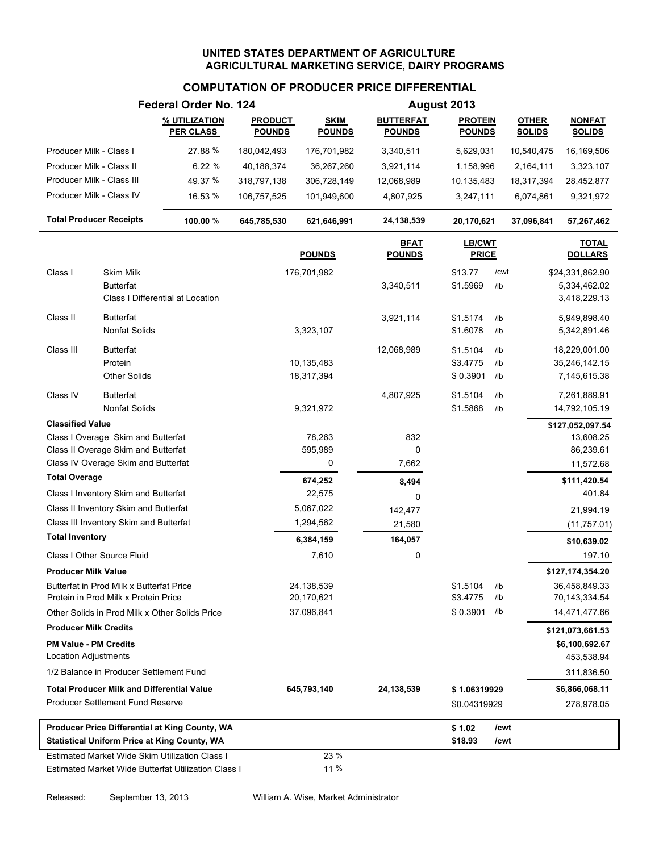# **COMPUTATION OF PRODUCER PRICE DIFFERENTIAL**

|                                                             |                                                                                  | Federal Order No. 124                                                                                 |                                 |                              |                                   | August 2013                     |             |                               |                                                 |
|-------------------------------------------------------------|----------------------------------------------------------------------------------|-------------------------------------------------------------------------------------------------------|---------------------------------|------------------------------|-----------------------------------|---------------------------------|-------------|-------------------------------|-------------------------------------------------|
|                                                             |                                                                                  | % UTILIZATION<br><b>PER CLASS</b>                                                                     | <b>PRODUCT</b><br><b>POUNDS</b> | <b>SKIM</b><br><b>POUNDS</b> | <b>BUTTERFAT</b><br><b>POUNDS</b> | <b>PROTEIN</b><br><b>POUNDS</b> |             | <b>OTHER</b><br><b>SOLIDS</b> | <b>NONFAT</b><br><b>SOLIDS</b>                  |
| Producer Milk - Class I                                     |                                                                                  | 27.88 %                                                                                               | 180,042,493                     | 176,701,982                  | 3,340,511                         | 5,629,031                       |             | 10,540,475                    | 16,169,506                                      |
| Producer Milk - Class II                                    |                                                                                  | 6.22%                                                                                                 | 40,188,374                      | 36,267,260                   | 3,921,114                         | 1,158,996                       |             | 2,164,111                     | 3,323,107                                       |
| Producer Milk - Class III                                   |                                                                                  | 49.37 %                                                                                               | 318,797,138                     | 306,728,149                  | 12,068,989                        | 10,135,483                      |             | 18,317,394                    | 28,452,877                                      |
| Producer Milk - Class IV                                    |                                                                                  | 16.53 %                                                                                               | 106,757,525                     | 101,949,600                  | 4,807,925                         | 3,247,111                       |             | 6,074,861                     | 9,321,972                                       |
| <b>Total Producer Receipts</b>                              |                                                                                  | 100.00 %                                                                                              | 645,785,530                     | 621,646,991                  | 24,138,539                        | 20,170,621                      |             | 37,096,841                    | 57,267,462                                      |
|                                                             |                                                                                  |                                                                                                       |                                 | <b>POUNDS</b>                | <b>BFAT</b><br><b>POUNDS</b>      | LB/CWT<br><b>PRICE</b>          |             |                               | <b>TOTAL</b><br><b>DOLLARS</b>                  |
| Class I                                                     | Skim Milk<br><b>Butterfat</b>                                                    | Class I Differential at Location                                                                      |                                 | 176,701,982                  | 3,340,511                         | \$13.77<br>\$1.5969             | /cwt<br>/lb |                               | \$24,331,862.90<br>5,334,462.02<br>3,418,229.13 |
| Class II                                                    | <b>Butterfat</b><br>Nonfat Solids                                                |                                                                                                       |                                 | 3,323,107                    | 3,921,114                         | \$1.5174<br>\$1.6078            | /lb<br>/lb  |                               | 5,949,898.40<br>5,342,891.46                    |
| Class III                                                   | <b>Butterfat</b><br>Protein                                                      |                                                                                                       |                                 | 10,135,483                   | 12,068,989                        | \$1.5104<br>\$3.4775            | /lb<br>/lb  |                               | 18,229,001.00<br>35,246,142.15                  |
| Class IV                                                    | <b>Other Solids</b><br><b>Butterfat</b>                                          |                                                                                                       |                                 | 18,317,394                   | 4,807,925                         | \$0.3901<br>\$1.5104            | /lb<br>/lb  |                               | 7,145,615.38<br>7,261,889.91                    |
|                                                             | Nonfat Solids                                                                    |                                                                                                       |                                 | 9,321,972                    |                                   | \$1.5868                        | /lb         |                               | 14,792,105.19                                   |
| <b>Classified Value</b>                                     |                                                                                  |                                                                                                       |                                 |                              |                                   |                                 |             |                               | \$127,052,097.54                                |
|                                                             | Class I Overage Skim and Butterfat                                               |                                                                                                       |                                 | 78,263                       | 832<br>$\Omega$                   |                                 |             |                               | 13,608.25                                       |
|                                                             | Class II Overage Skim and Butterfat<br>Class IV Overage Skim and Butterfat       |                                                                                                       |                                 | 595,989<br>0                 | 7,662                             |                                 |             |                               | 86,239.61<br>11,572.68                          |
| <b>Total Overage</b>                                        |                                                                                  |                                                                                                       |                                 | 674,252                      | 8,494                             |                                 |             |                               | \$111,420.54                                    |
|                                                             | Class I Inventory Skim and Butterfat                                             |                                                                                                       |                                 | 22,575                       | $\Omega$                          |                                 |             |                               | 401.84                                          |
|                                                             | Class II Inventory Skim and Butterfat                                            |                                                                                                       |                                 | 5,067,022                    | 142,477                           |                                 |             |                               | 21,994.19                                       |
|                                                             | Class III Inventory Skim and Butterfat                                           |                                                                                                       |                                 | 1,294,562                    | 21,580                            |                                 |             |                               | (11,757.01)                                     |
| <b>Total Inventory</b>                                      |                                                                                  |                                                                                                       |                                 | 6,384,159                    | 164,057                           |                                 |             |                               | \$10,639.02                                     |
| Class I Other Source Fluid                                  |                                                                                  |                                                                                                       |                                 | 7,610                        | 0                                 |                                 |             |                               | 197.10                                          |
| <b>Producer Milk Value</b>                                  |                                                                                  |                                                                                                       |                                 |                              |                                   |                                 |             |                               | \$127,174,354.20                                |
|                                                             | Butterfat in Prod Milk x Butterfat Price<br>Protein in Prod Milk x Protein Price |                                                                                                       |                                 | 24,138,539<br>20,170,621     |                                   | \$1.5104<br>\$3.4775            | /lb<br>/lb  |                               | 36,458,849.33<br>70,143,334.54                  |
|                                                             |                                                                                  | Other Solids in Prod Milk x Other Solids Price                                                        |                                 | 37,096,841                   |                                   | \$0.3901                        | /lb         |                               | 14,471,477.66                                   |
| <b>Producer Milk Credits</b>                                |                                                                                  |                                                                                                       |                                 |                              |                                   |                                 |             |                               | \$121,073,661.53                                |
| <b>PM Value - PM Credits</b><br><b>Location Adjustments</b> |                                                                                  |                                                                                                       |                                 |                              |                                   |                                 |             |                               | \$6,100,692.67<br>453,538.94                    |
|                                                             | 1/2 Balance in Producer Settlement Fund                                          |                                                                                                       |                                 |                              |                                   |                                 |             |                               | 311,836.50                                      |
|                                                             | <b>Total Producer Milk and Differential Value</b>                                |                                                                                                       |                                 | 645,793,140                  | 24,138,539                        | \$1.06319929                    |             |                               | \$6,866,068.11                                  |
|                                                             | Producer Settlement Fund Reserve                                                 |                                                                                                       |                                 |                              |                                   | \$0.04319929                    |             |                               | 278,978.05                                      |
|                                                             |                                                                                  | Producer Price Differential at King County, WA                                                        |                                 |                              |                                   | \$1.02                          | /cwt        |                               |                                                 |
|                                                             |                                                                                  | <b>Statistical Uniform Price at King County, WA</b>                                                   |                                 |                              |                                   | \$18.93                         | /cwt        |                               |                                                 |
|                                                             |                                                                                  | Estimated Market Wide Skim Utilization Class I<br>Estimated Market Wide Butterfat Utilization Class I |                                 | 23 %<br>11 %                 |                                   |                                 |             |                               |                                                 |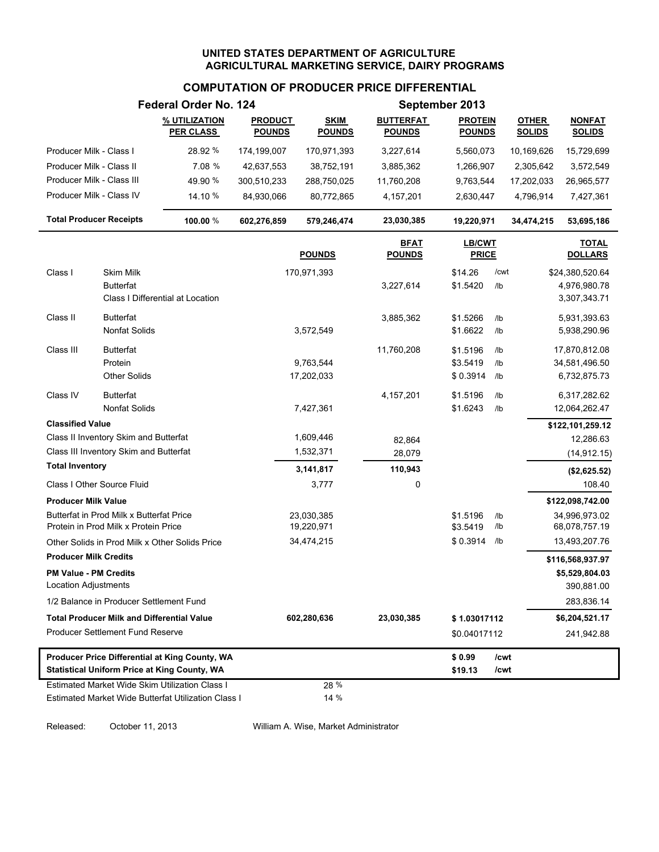### **COMPUTATION OF PRODUCER PRICE DIFFERENTIAL**

|                                                                                                       |                                                                                  | Federal Order No. 124                                                                                 |                                 | September 2013               |                                   |                                 |              |                               |                                |
|-------------------------------------------------------------------------------------------------------|----------------------------------------------------------------------------------|-------------------------------------------------------------------------------------------------------|---------------------------------|------------------------------|-----------------------------------|---------------------------------|--------------|-------------------------------|--------------------------------|
|                                                                                                       |                                                                                  | % UTILIZATION<br><b>PER CLASS</b>                                                                     | <b>PRODUCT</b><br><u>POUNDS</u> | <b>SKIM</b><br><b>POUNDS</b> | <b>BUTTERFAT</b><br><u>POUNDS</u> | <b>PROTEIN</b><br><u>POUNDS</u> |              | <b>OTHER</b><br><b>SOLIDS</b> | <b>NONFAT</b><br><b>SOLIDS</b> |
| Producer Milk - Class I                                                                               |                                                                                  | 28.92 %                                                                                               | 174,199,007                     | 170,971,393                  | 3,227,614                         | 5,560,073                       |              | 10,169,626                    | 15,729,699                     |
| Producer Milk - Class II                                                                              |                                                                                  | 7.08 %                                                                                                | 42,637,553                      | 38,752,191                   | 3,885,362                         | 1,266,907                       |              | 2,305,642                     | 3,572,549                      |
| Producer Milk - Class III                                                                             |                                                                                  | 49.90 %                                                                                               | 300,510,233                     | 288,750,025                  | 11,760,208                        | 9,763,544                       |              | 17,202,033                    | 26,965,577                     |
| Producer Milk - Class IV                                                                              |                                                                                  | 14.10 %                                                                                               | 84,930,066                      | 80,772,865                   | 4,157,201                         | 2,630,447                       |              | 4,796,914                     | 7,427,361                      |
| <b>Total Producer Receipts</b>                                                                        |                                                                                  | 100.00 %                                                                                              | 602,276,859                     | 579,246,474                  | 23,030,385                        | 19,220,971                      |              | 34,474,215                    | 53,695,186                     |
|                                                                                                       |                                                                                  |                                                                                                       |                                 | <b>POUNDS</b>                | <b>BFAT</b><br><b>POUNDS</b>      | <b>LB/CWT</b><br><b>PRICE</b>   |              |                               | <b>TOTAL</b><br><b>DOLLARS</b> |
| Class I                                                                                               | Skim Milk                                                                        |                                                                                                       |                                 | 170,971,393                  |                                   | \$14.26                         | /cwt         |                               | \$24,380,520.64                |
|                                                                                                       | <b>Butterfat</b>                                                                 | Class I Differential at Location                                                                      |                                 |                              | 3,227,614                         | \$1.5420                        | /lb          |                               | 4,976,980.78<br>3,307,343.71   |
| Class II                                                                                              | <b>Butterfat</b>                                                                 |                                                                                                       |                                 |                              | 3,885,362                         | \$1.5266                        | /lb          |                               | 5,931,393.63                   |
|                                                                                                       | Nonfat Solids                                                                    |                                                                                                       |                                 | 3,572,549                    |                                   | \$1.6622                        | /lb          |                               | 5,938,290.96                   |
| Class III                                                                                             | <b>Butterfat</b>                                                                 |                                                                                                       |                                 |                              | 11,760,208                        | \$1.5196                        | /lb          |                               | 17,870,812.08                  |
|                                                                                                       | Protein                                                                          |                                                                                                       |                                 | 9,763,544                    |                                   | \$3.5419                        | /lb          |                               | 34,581,496.50                  |
|                                                                                                       | <b>Other Solids</b>                                                              |                                                                                                       |                                 | 17,202,033                   |                                   | \$0.3914                        | /lb          |                               | 6,732,875.73                   |
| Class IV                                                                                              | <b>Butterfat</b><br><b>Nonfat Solids</b>                                         |                                                                                                       |                                 |                              | 4, 157, 201                       | \$1.5196                        | /lb          |                               | 6,317,282.62                   |
|                                                                                                       |                                                                                  |                                                                                                       |                                 | 7,427,361                    |                                   | \$1.6243                        | /lb          |                               | 12,064,262.47                  |
| <b>Classified Value</b>                                                                               | Class II Inventory Skim and Butterfat                                            |                                                                                                       |                                 | 1,609,446                    |                                   |                                 |              |                               | \$122,101,259.12<br>12,286.63  |
|                                                                                                       | Class III Inventory Skim and Butterfat                                           |                                                                                                       |                                 | 1,532,371                    | 82,864<br>28,079                  |                                 |              |                               | (14, 912.15)                   |
| <b>Total Inventory</b>                                                                                |                                                                                  |                                                                                                       |                                 | 3,141,817                    | 110,943                           |                                 |              |                               | (\$2,625.52)                   |
|                                                                                                       | Class I Other Source Fluid                                                       |                                                                                                       |                                 | 3,777                        | 0                                 |                                 |              |                               | 108.40                         |
| <b>Producer Milk Value</b>                                                                            |                                                                                  |                                                                                                       |                                 |                              |                                   |                                 |              |                               | \$122,098,742.00               |
|                                                                                                       | Butterfat in Prod Milk x Butterfat Price<br>Protein in Prod Milk x Protein Price |                                                                                                       |                                 | 23,030,385<br>19,220,971     |                                   | \$1.5196<br>\$3.5419            | /lb<br>/lb   |                               | 34,996,973.02<br>68,078,757.19 |
|                                                                                                       |                                                                                  | Other Solids in Prod Milk x Other Solids Price                                                        |                                 | 34,474,215                   |                                   | \$0.3914                        | /lb          |                               | 13,493,207.76                  |
| <b>Producer Milk Credits</b>                                                                          |                                                                                  |                                                                                                       |                                 |                              |                                   |                                 |              |                               | \$116,568,937.97               |
| <b>PM Value - PM Credits</b><br>Location Adjustments                                                  |                                                                                  |                                                                                                       |                                 |                              |                                   |                                 |              |                               | \$5,529,804.03<br>390,881.00   |
|                                                                                                       | 1/2 Balance in Producer Settlement Fund                                          |                                                                                                       |                                 |                              |                                   |                                 |              |                               | 283,836.14                     |
|                                                                                                       | <b>Total Producer Milk and Differential Value</b>                                |                                                                                                       |                                 | 602,280,636                  | 23,030,385                        | \$1.03017112                    |              |                               | \$6,204,521.17                 |
|                                                                                                       | <b>Producer Settlement Fund Reserve</b>                                          |                                                                                                       |                                 |                              |                                   | \$0.04017112                    |              |                               | 241,942.88                     |
| Producer Price Differential at King County, WA<br><b>Statistical Uniform Price at King County, WA</b> |                                                                                  |                                                                                                       |                                 |                              |                                   | \$0.99<br>\$19.13               | /cwt<br>/cwt |                               |                                |
|                                                                                                       |                                                                                  | Estimated Market Wide Skim Utilization Class I<br>Estimated Market Wide Butterfat Utilization Class I |                                 | 28 %<br>14 %                 |                                   |                                 |              |                               |                                |

Released: October 11, 2013 William A. Wise, Market Administrator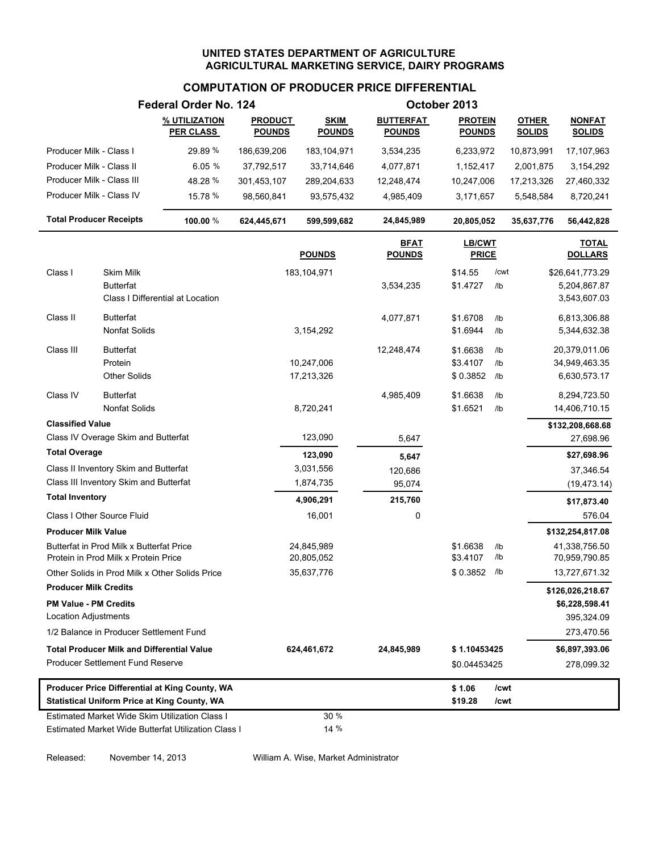# **COMPUTATION OF PRODUCER PRICE DIFFERENTIAL**

|                                |                                                                                  | Federal Order No. 124                                                                                 |                                 |                              |                                   | October 2013                    |                 |                               |                                |
|--------------------------------|----------------------------------------------------------------------------------|-------------------------------------------------------------------------------------------------------|---------------------------------|------------------------------|-----------------------------------|---------------------------------|-----------------|-------------------------------|--------------------------------|
|                                |                                                                                  | % UTILIZATION<br><b>PER CLASS</b>                                                                     | <b>PRODUCT</b><br><b>POUNDS</b> | <b>SKIM</b><br><b>POUNDS</b> | <b>BUTTERFAT</b><br><b>POUNDS</b> | <b>PROTEIN</b><br><b>POUNDS</b> |                 | <b>OTHER</b><br><b>SOLIDS</b> | <b>NONFAT</b><br><b>SOLIDS</b> |
| Producer Milk - Class I        |                                                                                  | 29.89 %                                                                                               | 186,639,206                     | 183,104,971                  | 3,534,235                         | 6,233,972                       |                 | 10,873,991                    | 17,107,963                     |
| Producer Milk - Class II       |                                                                                  | 6.05%                                                                                                 | 37,792,517                      | 33,714,646                   | 4,077,871                         | 1,152,417                       |                 | 2,001,875                     | 3,154,292                      |
| Producer Milk - Class III      |                                                                                  | 48.28 %                                                                                               | 301,453,107                     | 289,204,633                  | 12,248,474                        | 10,247,006                      |                 | 17,213,326                    | 27,460,332                     |
| Producer Milk - Class IV       |                                                                                  | 15.78 %                                                                                               | 98,560,841                      | 93,575,432                   | 4,985,409                         | 3,171,657                       |                 | 5,548,584                     | 8,720,241                      |
| <b>Total Producer Receipts</b> |                                                                                  | 100.00 %                                                                                              | 624,445,671                     | 599,599,682                  | 24,845,989                        | 20,805,052                      |                 | 35,637,776                    | 56,442,828                     |
|                                |                                                                                  |                                                                                                       |                                 | <b>POUNDS</b>                | <b>BFAT</b><br><b>POUNDS</b>      | <b>LB/CWT</b><br><b>PRICE</b>   |                 |                               | <b>TOTAL</b><br><b>DOLLARS</b> |
| Class I                        | Skim Milk                                                                        |                                                                                                       |                                 | 183,104,971                  |                                   | \$14.55                         | /cwt            |                               | \$26,641,773.29                |
|                                | <b>Butterfat</b>                                                                 |                                                                                                       |                                 |                              | 3,534,235                         | \$1.4727                        | /lb             |                               | 5,204,867.87                   |
|                                |                                                                                  | Class I Differential at Location                                                                      |                                 |                              |                                   |                                 |                 |                               | 3,543,607.03                   |
| Class II                       | <b>Butterfat</b>                                                                 |                                                                                                       |                                 |                              | 4,077,871                         | \$1.6708                        | /lb             |                               | 6,813,306.88                   |
|                                | <b>Nonfat Solids</b>                                                             |                                                                                                       |                                 | 3,154,292                    |                                   | \$1.6944                        | /lb             |                               | 5,344,632.38                   |
| Class III                      | <b>Butterfat</b>                                                                 |                                                                                                       |                                 |                              | 12,248,474                        | \$1.6638                        | /lb             |                               | 20,379,011.06                  |
|                                | Protein                                                                          |                                                                                                       |                                 | 10,247,006                   |                                   | \$3.4107                        | /lb             |                               | 34,949,463.35                  |
|                                | <b>Other Solids</b>                                                              |                                                                                                       |                                 | 17,213,326                   |                                   | \$0.3852                        | /lb             |                               | 6,630,573.17                   |
| Class IV                       | <b>Butterfat</b>                                                                 |                                                                                                       |                                 |                              | 4,985,409                         | \$1.6638                        | /1 <sub>b</sub> |                               | 8,294,723.50                   |
|                                | <b>Nonfat Solids</b>                                                             |                                                                                                       |                                 | 8,720,241                    |                                   | \$1.6521                        | /lb             |                               | 14,406,710.15                  |
| <b>Classified Value</b>        |                                                                                  |                                                                                                       |                                 |                              |                                   |                                 |                 |                               | \$132,208,668.68               |
|                                | Class IV Overage Skim and Butterfat                                              |                                                                                                       |                                 | 123,090                      | 5,647                             |                                 |                 |                               | 27,698.96                      |
| <b>Total Overage</b>           |                                                                                  |                                                                                                       |                                 | 123,090                      | 5,647                             |                                 |                 |                               | \$27,698.96                    |
|                                | Class II Inventory Skim and Butterfat                                            |                                                                                                       |                                 | 3,031,556                    | 120,686                           |                                 |                 |                               | 37,346.54                      |
|                                | Class III Inventory Skim and Butterfat                                           |                                                                                                       |                                 | 1,874,735                    | 95,074                            |                                 |                 |                               | (19, 473.14)                   |
| <b>Total Inventory</b>         |                                                                                  |                                                                                                       |                                 | 4,906,291                    | 215,760                           |                                 |                 |                               | \$17,873.40                    |
|                                | Class I Other Source Fluid                                                       |                                                                                                       |                                 | 16,001                       | 0                                 |                                 |                 |                               | 576.04                         |
| <b>Producer Milk Value</b>     |                                                                                  |                                                                                                       |                                 |                              |                                   |                                 |                 |                               | \$132,254,817.08               |
|                                | Butterfat in Prod Milk x Butterfat Price<br>Protein in Prod Milk x Protein Price |                                                                                                       |                                 | 24,845,989<br>20,805,052     |                                   | \$1.6638<br>\$3.4107            | /lb<br>/lb      |                               | 41,338,756.50<br>70,959,790.85 |
|                                |                                                                                  | Other Solids in Prod Milk x Other Solids Price                                                        |                                 | 35,637,776                   |                                   | \$0.3852                        | /lb             |                               | 13,727,671.32                  |
| <b>Producer Milk Credits</b>   |                                                                                  |                                                                                                       |                                 |                              |                                   |                                 |                 |                               | \$126,026,218.67               |
| <b>PM Value - PM Credits</b>   |                                                                                  |                                                                                                       |                                 |                              |                                   |                                 |                 |                               | \$6,228,598.41                 |
| Location Adjustments           |                                                                                  |                                                                                                       |                                 |                              |                                   |                                 |                 |                               | 395,324.09                     |
|                                | 1/2 Balance in Producer Settlement Fund                                          |                                                                                                       |                                 |                              |                                   |                                 |                 |                               | 273,470.56                     |
|                                | <b>Total Producer Milk and Differential Value</b>                                |                                                                                                       |                                 | 624,461,672                  | 24,845,989                        | \$1.10453425                    |                 |                               | \$6,897,393.06                 |
|                                | <b>Producer Settlement Fund Reserve</b>                                          |                                                                                                       |                                 |                              |                                   | \$0.04453425                    |                 |                               | 278,099.32                     |
|                                |                                                                                  | Producer Price Differential at King County, WA                                                        |                                 |                              |                                   | \$1.06                          | /cwt            |                               |                                |
|                                |                                                                                  | <b>Statistical Uniform Price at King County, WA</b>                                                   |                                 |                              |                                   | \$19.28                         | /cwt            |                               |                                |
|                                |                                                                                  | Estimated Market Wide Skim Utilization Class I<br>Estimated Market Wide Butterfat Utilization Class I |                                 | 30 %<br>14 %                 |                                   |                                 |                 |                               |                                |

Released: November 14, 2013 William A. Wise, Market Administrator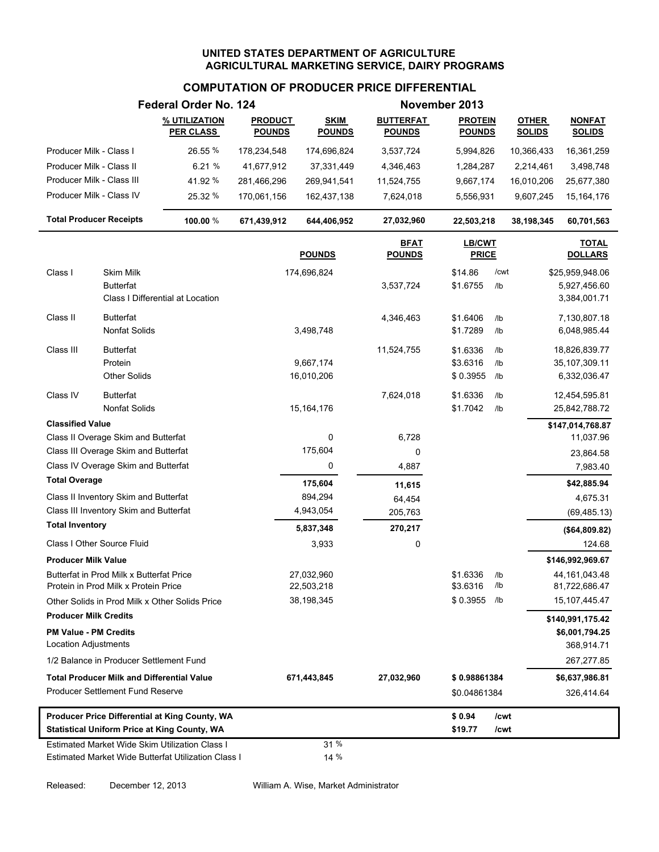### **COMPUTATION OF PRODUCER PRICE DIFFERENTIAL**

|                                |                                                                                  | Federal Order No. 124                               |                |                          |                              | November 2013          |                 |               |                                    |
|--------------------------------|----------------------------------------------------------------------------------|-----------------------------------------------------|----------------|--------------------------|------------------------------|------------------------|-----------------|---------------|------------------------------------|
|                                |                                                                                  | % UTILIZATION                                       | <b>PRODUCT</b> | <b>SKIM</b>              | <b>BUTTERFAT</b>             | <b>PROTEIN</b>         |                 | <b>OTHER</b>  | <b>NONFAT</b>                      |
|                                |                                                                                  | <b>PER CLASS</b>                                    | <b>POUNDS</b>  | <b>POUNDS</b>            | <b>POUNDS</b>                | <b>POUNDS</b>          |                 | <b>SOLIDS</b> | <b>SOLIDS</b>                      |
| Producer Milk - Class I        |                                                                                  | 26.55 %                                             | 178,234,548    | 174,696,824              | 3,537,724                    | 5,994,826              |                 | 10,366,433    | 16,361,259                         |
| Producer Milk - Class II       |                                                                                  | 6.21%                                               | 41,677,912     | 37,331,449               | 4,346,463                    | 1,284,287              |                 | 2,214,461     | 3,498,748                          |
| Producer Milk - Class III      |                                                                                  | 41.92%                                              | 281,466,296    | 269,941,541              | 11,524,755                   | 9,667,174              |                 | 16,010,206    | 25,677,380                         |
| Producer Milk - Class IV       |                                                                                  | 25.32 %                                             | 170,061,156    | 162,437,138              | 7,624,018                    | 5,556,931              |                 | 9,607,245     | 15, 164, 176                       |
| <b>Total Producer Receipts</b> |                                                                                  | 100.00 %                                            | 671,439,912    | 644,406,952              | 27,032,960                   | 22,503,218             |                 | 38,198,345    | 60,701,563                         |
|                                |                                                                                  |                                                     |                | <b>POUNDS</b>            | <b>BFAT</b><br><b>POUNDS</b> | LB/CWT<br><b>PRICE</b> |                 |               | <b>TOTAL</b><br><b>DOLLARS</b>     |
| Class I                        | Skim Milk                                                                        |                                                     |                | 174,696,824              |                              | \$14.86                | /cwt            |               | \$25,959,948.06                    |
|                                | <b>Butterfat</b>                                                                 |                                                     |                |                          | 3,537,724                    | \$1.6755               | /lb             |               | 5,927,456.60                       |
|                                |                                                                                  | Class I Differential at Location                    |                |                          |                              |                        |                 |               | 3,384,001.71                       |
| Class II                       | <b>Butterfat</b>                                                                 |                                                     |                |                          | 4,346,463                    | \$1.6406               | /lb             |               | 7,130,807.18                       |
|                                | <b>Nonfat Solids</b>                                                             |                                                     |                | 3,498,748                |                              | \$1.7289               | /lb             |               | 6,048,985.44                       |
| Class III                      | <b>Butterfat</b>                                                                 |                                                     |                |                          | 11,524,755                   | \$1.6336               | /lb             |               | 18,826,839.77                      |
|                                | Protein                                                                          |                                                     |                | 9,667,174                |                              | \$3.6316               | /lb             |               | 35,107,309.11                      |
|                                | <b>Other Solids</b>                                                              |                                                     |                | 16,010,206               |                              | \$0.3955               | /lb             |               | 6,332,036.47                       |
| Class IV                       | <b>Butterfat</b>                                                                 |                                                     |                |                          | 7,624,018                    | \$1.6336               | /1 <sub>b</sub> |               | 12,454,595.81                      |
|                                | <b>Nonfat Solids</b>                                                             |                                                     |                | 15,164,176               |                              | \$1.7042               | /lb             |               | 25,842,788.72                      |
| <b>Classified Value</b>        |                                                                                  |                                                     |                |                          |                              |                        |                 |               | \$147,014,768.87                   |
|                                | Class II Overage Skim and Butterfat                                              |                                                     |                | 0                        | 6,728                        |                        |                 |               | 11,037.96                          |
|                                | Class III Overage Skim and Butterfat                                             |                                                     |                | 175,604                  | 0                            |                        |                 |               | 23,864.58                          |
|                                | Class IV Overage Skim and Butterfat                                              |                                                     |                | 0                        | 4,887                        |                        |                 |               | 7,983.40                           |
| <b>Total Overage</b>           |                                                                                  |                                                     |                | 175,604                  | 11,615                       |                        |                 |               | \$42,885.94                        |
|                                | Class II Inventory Skim and Butterfat                                            |                                                     |                | 894,294                  | 64,454                       |                        |                 |               | 4,675.31                           |
| <b>Total Inventory</b>         | Class III Inventory Skim and Butterfat                                           |                                                     |                | 4,943,054                | 205,763                      |                        |                 |               | (69, 485.13)                       |
|                                |                                                                                  |                                                     |                | 5,837,348                | 270,217                      |                        |                 |               | (\$64,809.82)                      |
|                                | Class I Other Source Fluid                                                       |                                                     |                | 3,933                    | 0                            |                        |                 |               | 124.68                             |
| <b>Producer Milk Value</b>     |                                                                                  |                                                     |                |                          |                              |                        |                 |               | \$146,992,969.67                   |
|                                | Butterfat in Prod Milk x Butterfat Price<br>Protein in Prod Milk x Protein Price |                                                     |                | 27.032.960<br>22,503,218 |                              | \$1.6336<br>\$3.6316   | /lb<br>/lb      |               | 44,161,043.48<br>81,722,686.47     |
|                                |                                                                                  | Other Solids in Prod Milk x Other Solids Price      |                | 38,198,345               |                              | \$0.3955               | /lb             |               | 15, 107, 445. 47                   |
| <b>Producer Milk Credits</b>   |                                                                                  |                                                     |                |                          |                              |                        |                 |               |                                    |
| <b>PM Value - PM Credits</b>   |                                                                                  |                                                     |                |                          |                              |                        |                 |               | \$140,991,175.42<br>\$6,001,794.25 |
| Location Adjustments           |                                                                                  |                                                     |                |                          |                              |                        |                 |               | 368,914.71                         |
|                                | 1/2 Balance in Producer Settlement Fund                                          |                                                     |                |                          |                              |                        |                 |               | 267,277.85                         |
|                                | <b>Total Producer Milk and Differential Value</b>                                |                                                     |                | 671,443,845              | 27,032,960                   | \$0.98861384           |                 |               | \$6,637,986.81                     |
|                                | <b>Producer Settlement Fund Reserve</b>                                          |                                                     |                |                          |                              | \$0.04861384           |                 |               | 326,414.64                         |
|                                |                                                                                  | Producer Price Differential at King County, WA      |                |                          |                              | \$0.94                 | /cwt            |               |                                    |
|                                |                                                                                  | <b>Statistical Uniform Price at King County, WA</b> |                |                          |                              | \$19.77                | /cwt            |               |                                    |
|                                |                                                                                  | Estimated Market Wide Skim Utilization Class I      |                | 31 %                     |                              |                        |                 |               |                                    |
|                                |                                                                                  | Estimated Market Wide Butterfat Utilization Class I |                | 14 %                     |                              |                        |                 |               |                                    |

Released: December 12, 2013 William A. Wise, Market Administrator